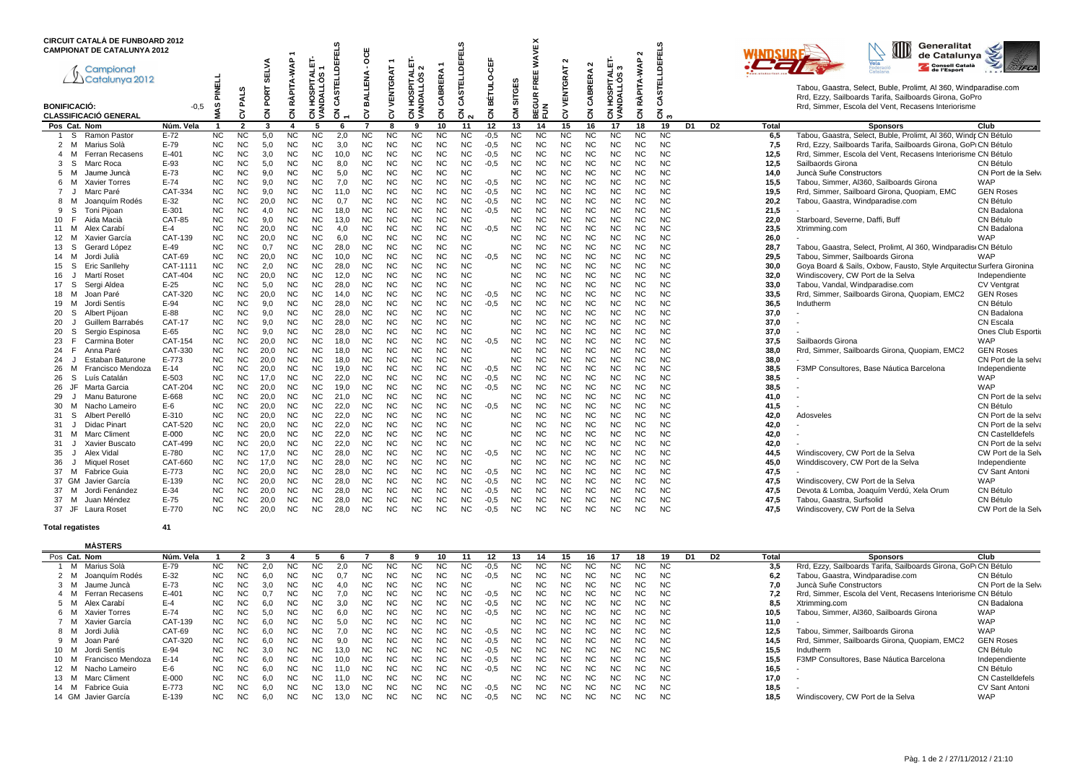|                         | <b>CIRCUIT CATALÀ DE FUNBOARD 2012</b><br><b>CAMPIONAT DE CATALUNYA 2012</b> |                  |                        |                        |              |                        |                           | DEFELS         | ğ                      |                        |                                   |                        |                                    |                  |                        | <b>WAVE X</b>          |                        |                        |                                 | Ν               |                               |    |                |              | Generalitat<br>de Catalunva                                                                                                |                                 |
|-------------------------|------------------------------------------------------------------------------|------------------|------------------------|------------------------|--------------|------------------------|---------------------------|----------------|------------------------|------------------------|-----------------------------------|------------------------|------------------------------------|------------------|------------------------|------------------------|------------------------|------------------------|---------------------------------|-----------------|-------------------------------|----|----------------|--------------|----------------------------------------------------------------------------------------------------------------------------|---------------------------------|
|                         | Campionat<br>2 Catalunya 2012                                                |                  |                        |                        | <b>SELVA</b> | RÀPITA-WAP             | ALET-<br>۰ö               |                | ₹<br>EN                | VENTGRAT               | <b>I HOSPITALET-</b><br>NDALLÒS 2 | CABRERA                | <b>STELLDEFELS</b>                 | ₩<br>ω           |                        | Ш                      | N<br>VENTGRAT          | $\sim$<br><b>RERA</b>  | ш.<br>₹                         | RÀPITA-WAP      | <b>CASTELLDEFELS</b>          |    |                |              | Consell Català<br>de l'Esport                                                                                              | <b>IFCA</b>                     |
|                         |                                                                              |                  | <b>PINELL</b>          | $\omega$               | PORT         |                        | <b>TIES</b><br><b>DAL</b> | 핕<br><b>in</b> | <b>BAL</b>             |                        |                                   |                        |                                    | BÉTULO-          | SITGES                 | 준                      |                        | m<br>నే                |                                 |                 |                               |    |                |              | Tabou, Gaastra, Select, Buble, Prolimt, Al 360, Windparadise.com<br>Rrd, Ezzy, Sailboards Tarifa, Sailboards Girona, GoPro |                                 |
| <b>BONIFICACIÓ:</b>     | <b>CLASSIFICACIÓ GENERAL</b>                                                 | $-0.5$           | MIAS                   | λ                      | 3            | 3                      | 웊<br>ह ड्र                | Ë<br>3         | る                      | 5                      | ह डु                              | 3                      | ే<br>$\overline{6}$ $\overline{8}$ | 3                | 훉                      | BEGUR I<br>Fun         | 5                      | 중                      | <b>CN HOSPITAL</b><br>VANDALLOS | 3               | $\overline{6}$ $\overline{6}$ |    |                |              | Rrd, Simmer, Escola del Vent, Recasens Interiorisme                                                                        |                                 |
| Pos Cat. Nom            |                                                                              | Núm. Vela        |                        | 2                      | 3            | $\boldsymbol{\Delta}$  | 5                         |                | 7                      | 8                      | 9                                 | 10                     | 11                                 | 12               | 13                     | 14                     | 15                     | 16                     | 17                              | 18              | 19                            | D1 | D <sub>2</sub> | Total        | <b>Sponsors</b>                                                                                                            | Club                            |
| -S                      | Ramon Pastor                                                                 | $E-72$           | NC.                    | NC                     | 5,0          | <b>NC</b>              | <b>NC</b>                 | 2,0            | NC                     | <b>NC</b>              | <b>NC</b>                         | <b>NC</b>              | <b>NC</b>                          | $-0.5$           | <b>NC</b>              | <b>NC</b>              | <b>NC</b>              | <b>NC</b>              | <b>NC</b>                       | <b>NC</b>       | <b>NC</b>                     |    |                | 6,5          | Tabou, Gaastra, Select, Buble, Prolimt, Al 360, Windr CN Bétulo                                                            |                                 |
| 2 M                     | Marius Solà                                                                  | E-79             | <b>NC</b>              | <b>NC</b>              | 5,0          | <b>NC</b>              | <b>NC</b>                 | 3,0            | <b>NC</b>              | <b>NC</b>              | <b>NC</b>                         | <b>NC</b>              | <b>NC</b>                          | $-0.5$           | <b>NC</b>              | <b>NC</b>              | <b>NC</b>              | <b>NC</b>              | <b>NC</b>                       | <b>NC</b>       | <b>NC</b>                     |    |                | 7,5          | Rrd, Ezzy, Sailboards Tarifa, Sailboards Girona, GoPLCN Bétulo                                                             |                                 |
| м<br>4                  | Ferran Recasens                                                              | $E - 401$        | <b>NC</b>              | <b>NC</b>              | 3,0          | <b>NC</b>              | <b>NC</b>                 | 10,0           | <b>NC</b>              | <b>NC</b>              | <b>NC</b>                         | <b>NC</b>              | <b>NC</b>                          | $-0.5$           | <b>NC</b>              | <b>NC</b>              | <b>NC</b>              | <b>NC</b>              | <b>NC</b>                       | <b>NC</b>       | <b>NC</b>                     |    |                | 12,5         | Rrd, Simmer, Escola del Vent, Recasens Interiorisme CN Bétulo                                                              |                                 |
| S.<br>3                 | Marc Roca                                                                    | E-93<br>$E-73$   | <b>NC</b>              | <b>NC</b>              | 5.0          | <b>NC</b>              | <b>NC</b>                 | 8,0            | <b>NC</b><br><b>NC</b> | <b>NC</b>              | <b>NC</b><br><b>NC</b>            | <b>NC</b>              | <b>NC</b>                          | $-0.5$           | <b>NC</b>              | <b>NC</b><br><b>NC</b> | <b>NC</b>              | <b>NC</b>              | <b>NC</b><br><b>NC</b>          | <b>NC</b><br>NC | <b>NC</b>                     |    |                | 12,5         | Sailbaords Girona                                                                                                          | CN Bétulo<br>CN Port de la Selv |
| 5<br>M<br>м             | Jaume Juncà<br><b>Xavier Torres</b>                                          | $E-74$           | <b>NC</b><br><b>NC</b> | <b>NC</b><br><b>NC</b> | 9.0<br>9.0   | <b>NC</b><br><b>NC</b> | <b>NC</b><br><b>NC</b>    | 5,0<br>7,0     | NC                     | <b>NC</b><br><b>NC</b> | <b>NC</b>                         | <b>NC</b><br><b>NC</b> | <b>NC</b><br><b>NC</b>             | $-0,5$           | <b>NC</b><br><b>NC</b> | <b>NC</b>              | NC<br><b>NC</b>        | <b>NC</b><br><b>NC</b> | <b>NC</b>                       | <b>NC</b>       | <b>NC</b><br><b>NC</b>        |    |                | 14,0<br>15,5 | Juncà Suñe Constructors<br>Tabou, Simmer, Al360, Sailboards Girona                                                         | <b>WAP</b>                      |
| 6<br>$\overline{7}$     | Marc Paré                                                                    | CAT-334          | <b>NC</b>              | <b>NC</b>              | 9.0          | <b>NC</b>              | <b>NC</b>                 | 11.0           | <b>NC</b>              | <b>NC</b>              | <b>NC</b>                         | <b>NC</b>              | <b>NC</b>                          | $-0.5$           | <b>NC</b>              | <b>NC</b>              | <b>NC</b>              | <b>NC</b>              | <b>NC</b>                       | <b>NC</b>       | N <sub>C</sub>                |    |                | 19,5         | Rrd, Simmer, Sailboard Girona, Quopiam, EMC                                                                                | <b>GEN Roses</b>                |
| 8<br>м                  | Joanquím Rodés                                                               | $E-32$           | <b>NC</b>              | NC                     | 20,0         | <b>NC</b>              | <b>NC</b>                 | 0,7            | <b>NC</b>              | <b>NC</b>              | <b>NC</b>                         | <b>NC</b>              | <b>NC</b>                          | $-0,5$           | <b>NC</b>              | <b>NC</b>              | <b>NC</b>              | <b>NC</b>              | <b>NC</b>                       | <b>NC</b>       | <b>NC</b>                     |    |                | 20,2         | Tabou, Gaastra, Windparadise.com                                                                                           | CN Bétulo                       |
| S.<br>9                 | Toni Pijoan                                                                  | $E - 301$        | <b>NC</b>              | <b>NC</b>              | 4,0          | <b>NC</b>              | <b>NC</b>                 | 18,0           | <b>NC</b>              | <b>NC</b>              | <b>NC</b>                         | <b>NC</b>              | <b>NC</b>                          | $-0.5$           | <b>NC</b>              | <b>NC</b>              | <b>NC</b>              | <b>NC</b>              | <b>NC</b>                       | <b>NC</b>       | <b>NC</b>                     |    |                | 21,5         |                                                                                                                            | CN Badalona                     |
| 10<br>E                 | Aida Macià                                                                   | <b>CAT-85</b>    | <b>NC</b>              | <b>NC</b>              | 9.0          | <b>NC</b>              | <b>NC</b>                 | 13,0           | <b>NC</b>              | <b>NC</b>              | <b>NC</b>                         | <b>NC</b>              | <b>NC</b>                          |                  | <b>NC</b>              | <b>NC</b>              | <b>NC</b>              | <b>NC</b>              | <b>NC</b>                       | NC              | <b>NC</b>                     |    |                | 22,0         | Starboard, Severne, Daffi, Buff                                                                                            | CN Bétulo                       |
| 11 M                    | Alex Carabi                                                                  | $E-4$            | <b>NC</b>              | <b>NC</b>              | 20,0         | <b>NC</b>              | <b>NC</b>                 | 4,0            | NC                     | <b>NC</b>              | <b>NC</b>                         | <b>NC</b>              | <b>NC</b>                          | $-0.5$           | <b>NC</b>              | <b>NC</b>              | <b>NC</b>              | <b>NC</b>              | <b>NC</b>                       | <b>NC</b>       | <b>NC</b>                     |    |                | 23,5         | Xtrimming.com                                                                                                              | CN Badalona                     |
| 12<br>м                 | Xavier García                                                                | CAT-139          | <b>NC</b>              | <b>NC</b>              | 20.0         | <b>NC</b>              | <b>NC</b>                 | 6.0            | <b>NC</b>              | <b>NC</b>              | <b>NC</b>                         | <b>NC</b>              | <b>NC</b>                          |                  | <b>NC</b>              | <b>NC</b>              | <b>NC</b>              | <b>NC</b>              | <b>NC</b>                       | <b>NC</b>       | N <sub>C</sub>                |    |                | 26,0         |                                                                                                                            | <b>WAP</b>                      |
| 13<br>-S                | Gerard López                                                                 | $E-49$           | <b>NC</b>              | NC                     | 0,7          | <b>NC</b>              | <b>NC</b>                 | 28,0           | <b>NC</b>              | <b>NC</b>              | <b>NC</b>                         | <b>NC</b>              | <b>NC</b>                          |                  | <b>NC</b>              | <b>NC</b>              | <b>NC</b>              | <b>NC</b>              | <b>NC</b>                       | <b>NC</b>       | <b>NC</b>                     |    |                | 28,7         | Tabou, Gaastra, Select, Prolimt, Al 360, Windparadist CN Bétulo                                                            |                                 |
| 14 M                    | Jordi Julià                                                                  | CAT-69           | NC.                    | <b>NC</b>              | 20,0         | <b>NC</b>              | <b>NC</b>                 | 10,0           | <b>NC</b>              | <b>NC</b>              | <b>NC</b>                         | <b>NC</b>              | <b>NC</b>                          | $-0.5$           | <b>NC</b>              | <b>NC</b>              | <b>NC</b>              | <b>NC</b>              | <b>NC</b>                       | <b>NC</b>       | N <sub>C</sub>                |    |                | 29,5         | Tabou, Simmer, Sailboards Girona                                                                                           | <b>WAP</b>                      |
| 15<br>-S                | Eric Sanllehv                                                                | CAT-1111         | <b>NC</b>              | <b>NC</b>              | 2.0          | <b>NC</b>              | <b>NC</b>                 | 28.0           | <b>NC</b>              | <b>NC</b>              | <b>NC</b>                         | <b>NC</b>              | <b>NC</b>                          |                  | <b>NC</b>              | <b>NC</b>              | <b>NC</b>              | <b>NC</b>              | <b>NC</b>                       | <b>NC</b>       | <b>NC</b>                     |    |                | 30,0         | Goya Board & Sails, Oxbow, Fausto, Style Arquitectur Surfera Gironina                                                      |                                 |
| 16                      | Martí Roset                                                                  | <b>CAT-404</b>   | <b>NC</b>              | <b>NC</b>              | 20.0         | <b>NC</b>              | <b>NC</b>                 | 12,0           | <b>NC</b>              | <b>NC</b>              | <b>NC</b>                         | <b>NC</b>              | <b>NC</b>                          |                  | <b>NC</b>              | <b>NC</b>              | <b>NC</b>              | <b>NC</b>              | <b>NC</b>                       | <b>NC</b>       | <b>NC</b>                     |    |                | 32,0         | Windiscovery, CW Port de la Selva                                                                                          | Independiente                   |
| 17<br>-S                | Sergi Aldea                                                                  | $E-25$           | <b>NC</b>              | <b>NC</b>              | 5.0          | <b>NC</b>              | <b>NC</b>                 | 28.0           | <b>NC</b>              | <b>NC</b>              | <b>NC</b>                         | <b>NC</b>              | <b>NC</b>                          |                  | <b>NC</b>              | <b>NC</b>              | <b>NC</b>              | <b>NC</b>              | <b>NC</b>                       | <b>NC</b>       | N <sub>C</sub>                |    |                | 33,0         | Tabou, Vandal, Windparadise.com                                                                                            | <b>CV Ventgrat</b>              |
| 18<br>м                 | Joan Paré                                                                    | CAT-320          | <b>NC</b>              | NC                     | 20,0         | <b>NC</b>              | <b>NC</b>                 | 14.0           | <b>NC</b>              | <b>NC</b>              | <b>NC</b>                         | <b>NC</b>              | <b>NC</b>                          | $-0,5$           | NC                     | <b>NC</b>              | <b>NC</b>              | <b>NC</b>              | <b>NC</b>                       | <b>NC</b>       | <b>NC</b>                     |    |                | 33,5         | Rrd, Simmer, Sailboards Girona, Quopiam, EMC2                                                                              | <b>GEN Roses</b>                |
| 19 M                    | Jordi Sentís                                                                 | $E-94$<br>E-88   | <b>NC</b><br><b>NC</b> | <b>NC</b><br><b>NC</b> | 9.0          | <b>NC</b><br><b>NC</b> | <b>NC</b><br><b>NC</b>    | 28.0<br>28.0   | NC.<br><b>NC</b>       | <b>NC</b><br><b>NC</b> | <b>NC</b><br><b>NC</b>            | <b>NC</b><br><b>NC</b> | <b>NC</b><br><b>NC</b>             | $-0.5$           | <b>NC</b><br><b>NC</b> | <b>NC</b><br><b>NC</b> | <b>NC</b><br><b>NC</b> | <b>NC</b><br><b>NC</b> | <b>NC</b><br><b>NC</b>          | <b>NC</b><br>NC | <b>NC</b><br><b>NC</b>        |    |                | 36,5         | Indutherm                                                                                                                  | CN Bétulo                       |
| 20<br>-S<br>20          | <b>Albert Piioan</b><br>Guillem Barrabés                                     | <b>CAT-17</b>    | <b>NC</b>              | <b>NC</b>              | 9.0<br>9.0   | <b>NC</b>              | <b>NC</b>                 | 28.0           | NC                     | <b>NC</b>              | <b>NC</b>                         | <b>NC</b>              | <b>NC</b>                          |                  | <b>NC</b>              | <b>NC</b>              | <b>NC</b>              | <b>NC</b>              | <b>NC</b>                       | <b>NC</b>       | <b>NC</b>                     |    |                | 37,0<br>37,0 |                                                                                                                            | CN Badalona<br>CN Escala        |
| 20<br>-S                | Sergio Espinosa                                                              | $E-65$           | <b>NC</b>              | <b>NC</b>              | 9.0          | <b>NC</b>              | <b>NC</b>                 | 28.0           | N <sub>C</sub>         | <b>NC</b>              | <b>NC</b>                         | <b>NC</b>              | <b>NC</b>                          |                  | <b>NC</b>              | <b>NC</b>              | <b>NC</b>              | <b>NC</b>              | N <sub>C</sub>                  | <b>NC</b>       | N <sub>C</sub>                |    |                | 37,0         |                                                                                                                            | Ones Club Esportio              |
| 23                      | Carmina Boter                                                                | CAT-154          | <b>NC</b>              | <b>NC</b>              | 20,0         | <b>NC</b>              | <b>NC</b>                 | 18.0           | <b>NC</b>              | <b>NC</b>              | <b>NC</b>                         | <b>NC</b>              | <b>NC</b>                          | $-0.5$           | NC                     | <b>NC</b>              | <b>NC</b>              | <b>NC</b>              | <b>NC</b>                       | <b>NC</b>       | <b>NC</b>                     |    |                | 37,5         | Sailbaords Girona                                                                                                          | <b>WAP</b>                      |
| 24<br>-F                | Anna Paré                                                                    | CAT-330          | <b>NC</b>              | <b>NC</b>              | 20.0         | <b>NC</b>              | <b>NC</b>                 | 18.0           | NC.                    | <b>NC</b>              | <b>NC</b>                         | <b>NC</b>              | <b>NC</b>                          |                  | <b>NC</b>              | <b>NC</b>              | <b>NC</b>              | <b>NC</b>              | <b>NC</b>                       | <b>NC</b>       | <b>NC</b>                     |    |                | 38,0         | Rrd. Simmer. Sailboards Girona, Quopiam, EMC2                                                                              | <b>GEN Roses</b>                |
| 24                      | Estaban Baturone                                                             | E-773            | <b>NC</b>              | <b>NC</b>              | 20.0         | <b>NC</b>              | <b>NC</b>                 | 18.0           | <b>NC</b>              | <b>NC</b>              | <b>NC</b>                         | <b>NC</b>              | <b>NC</b>                          |                  | <b>NC</b>              | <b>NC</b>              | <b>NC</b>              | <b>NC</b>              | <b>NC</b>                       | NC              | <b>NC</b>                     |    |                | 38,0         |                                                                                                                            | CN Port de la selva             |
| 26<br>м                 | Francisco Mendoza                                                            | $E-14$           | <b>NC</b>              | <b>NC</b>              | 20.0         | <b>NC</b>              | <b>NC</b>                 | 19.0           | <b>NC</b>              | <b>NC</b>              | <b>NC</b>                         | <b>NC</b>              | <b>NC</b>                          | $-0,5$           | <b>NC</b>              | <b>NC</b>              | <b>NC</b>              | <b>NC</b>              | <b>NC</b>                       | <b>NC</b>       | <b>NC</b>                     |    |                | 38,5         | F3MP Consultores, Base Náutica Barcelona                                                                                   | Independiente                   |
| 26<br>S.                | Luís Catalán                                                                 | E-503            | <b>NC</b>              | <b>NC</b>              | 17.0         | <b>NC</b>              | <b>NC</b>                 | 22.0           | <b>NC</b>              | <b>NC</b>              | <b>NC</b>                         | <b>NC</b>              | <b>NC</b>                          | $-0.5$           | <b>NC</b>              | <b>NC</b>              | <b>NC</b>              | <b>NC</b>              | <b>NC</b>                       | <b>NC</b>       | <b>NC</b>                     |    |                | 38,5         |                                                                                                                            | <b>WAP</b>                      |
| JF<br>26                | Marta Garcia                                                                 | <b>CAT-204</b>   | <b>NC</b>              | <b>NC</b>              | 20.0         | <b>NC</b>              | <b>NC</b>                 | 19.0           | <b>NC</b>              | <b>NC</b>              | <b>NC</b>                         | <b>NC</b>              | <b>NC</b>                          | $-0.5$           | <b>NC</b>              | <b>NC</b>              | <b>NC</b>              | <b>NC</b>              | <b>NC</b>                       | <b>NC</b>       | <b>NC</b>                     |    |                | 38,5         |                                                                                                                            | <b>WAP</b>                      |
| 29                      | Manu Baturone                                                                | E-668            | <b>NC</b>              | <b>NC</b>              | 20.0         | <b>NC</b>              | <b>NC</b>                 | 21.0           | <b>NC</b>              | <b>NC</b>              | <b>NC</b>                         | <b>NC</b>              | <b>NC</b>                          |                  | <b>NC</b>              | <b>NC</b>              | <b>NC</b>              | <b>NC</b>              | <b>NC</b>                       | <b>NC</b>       | <b>NC</b>                     |    |                | 41.0         |                                                                                                                            | CN Port de la selva             |
| 30<br>м                 | Nacho Lameiro                                                                | $E-6$            | <b>NC</b>              | NC                     | 20,0         | <b>NC</b>              | <b>NC</b>                 | 22,0           | ΝC                     | <b>NC</b>              | <b>NC</b>                         | <b>NC</b>              | <b>NC</b>                          | $-0.5$           | <b>NC</b>              | <b>NC</b>              | <b>NC</b>              | <b>NC</b>              | <b>NC</b>                       | NC              | <b>NC</b>                     |    |                | 41,5         |                                                                                                                            | CN Bétulo                       |
| 31<br>S                 | Albert Perelló                                                               | $E - 310$        | <b>NC</b>              | <b>NC</b>              | 20.0         | <b>NC</b>              | <b>NC</b>                 | 22,0           | <b>NC</b>              | <b>NC</b>              | <b>NC</b>                         | <b>NC</b>              | <b>NC</b>                          |                  | <b>NC</b>              | <b>NC</b>              | <b>NC</b>              | <b>NC</b>              | <b>NC</b>                       | <b>NC</b>       | <b>NC</b>                     |    |                | 42,0         | Adosveles                                                                                                                  | CN Port de la selva             |
| 31                      | Didac Pinart                                                                 | CAT-520          | <b>NC</b>              | <b>NC</b>              | 20,0         | <b>NC</b>              | <b>NC</b>                 | 22,0           | ΝC                     | <b>NC</b>              | <b>NC</b>                         | <b>NC</b>              | <b>NC</b>                          |                  | <b>NC</b>              | <b>NC</b>              | <b>NC</b>              | <b>NC</b>              | <b>NC</b>                       | NC              | <b>NC</b>                     |    |                | 42,0         |                                                                                                                            | CN Port de la selva             |
| 31<br>M                 | <b>Marc Climent</b>                                                          | $E-000$          | <b>NC</b>              | <b>NC</b>              | 20.0         | <b>NC</b>              | <b>NC</b>                 | 22.0           | <b>NC</b>              | <b>NC</b>              | <b>NC</b>                         | <b>NC</b>              | <b>NC</b>                          |                  | <b>NC</b>              | <b>NC</b>              | <b>NC</b>              | <b>NC</b>              | <b>NC</b>                       | <b>NC</b>       | <b>NC</b>                     |    |                | 42,0         |                                                                                                                            | <b>CN Castelldefels</b>         |
| 31                      | Xavier Buscato                                                               | CAT-499          | NC.                    | <b>NC</b>              | 20,0         | <b>NC</b>              | <b>NC</b>                 | 22,0           | <b>NC</b>              | NC.                    | <b>NC</b>                         | <b>NC</b>              | <b>NC</b>                          |                  | <b>NC</b>              | <b>NC</b>              | <b>NC</b>              | <b>NC</b>              | <b>NC</b>                       | NC              | <b>NC</b>                     |    |                | 42,0         |                                                                                                                            | CN Port de la selva             |
| 35                      | Alex Vidal                                                                   | E-780            | <b>NC</b>              | NC                     | 17,0         | <b>NC</b>              | <b>NC</b>                 | 28,0           | ΝC                     | <b>NC</b>              | <b>NC</b>                         | <b>NC</b>              | <b>NC</b>                          | $-0,5$           | <b>NC</b>              | <b>NC</b>              | <b>NC</b>              | <b>NC</b>              | <b>NC</b>                       | <b>NC</b>       | <b>NC</b>                     |    |                | 44,5         | Windiscovery, CW Port de la Selva                                                                                          | CW Port de la Sel               |
| 36                      | <b>Miquel Roset</b>                                                          | CAT-660<br>E-773 | <b>NC</b>              | <b>NC</b>              | 17.0         | <b>NC</b>              | <b>NC</b>                 | 28,0           | <b>NC</b>              | <b>NC</b><br><b>NC</b> | <b>NC</b><br><b>NC</b>            | <b>NC</b>              | <b>NC</b><br><b>NC</b>             |                  | <b>NC</b><br><b>NC</b> | <b>NC</b>              | <b>NC</b>              | <b>NC</b><br><b>NC</b> | <b>NC</b>                       | <b>NC</b>       | <b>NC</b><br><b>NC</b>        |    |                | 45,0         | Winddiscovery, CW Port de la Selva                                                                                         | Independiente                   |
| 37 M<br>37 GM           | <b>Fabrice Guia</b><br>Javier García                                         | E-139            | <b>NC</b><br><b>NC</b> | <b>NC</b><br><b>NC</b> | 20,0<br>20,0 | <b>NC</b><br><b>NC</b> | <b>NC</b><br><b>NC</b>    | 28,0<br>28,0   | ΝC<br>ΝC               | <b>NC</b>              | <b>NC</b>                         | <b>NC</b><br><b>NC</b> | <b>NC</b>                          | $-0,5$<br>$-0.5$ | <b>NC</b>              | <b>NC</b><br><b>NC</b> | <b>NC</b><br><b>NC</b> | <b>NC</b>              | <b>NC</b><br><b>NC</b>          | NC<br><b>NC</b> | <b>NC</b>                     |    |                | 47,5<br>47,5 | Windiscovery, CW Port de la Selva                                                                                          | CV Sant Antoni<br>WAP           |
| 37 M                    | Jordi Fenández                                                               | E-34             | NC.                    | <b>NC</b>              | 20,0         | <b>NC</b>              | <b>NC</b>                 | 28,0           | ΝC                     | NC.                    | NC.                               | <b>NC</b>              | <b>NC</b>                          | $-0,5$           | NC.                    | <b>NC</b>              | <b>NC</b>              | <b>NC</b>              | <b>NC</b>                       | NC              | <b>NC</b>                     |    |                | 47,5         | Devota & Lomba, Joaquím Verdú, Xela Orum                                                                                   | CN Bétulo                       |
| 37<br>M                 | Juan Méndez                                                                  | $E-75$           | <b>NC</b>              | ΝC                     | 20,0         | <b>NC</b>              | <b>NC</b>                 | 28,0           | NC                     | <b>NC</b>              | <b>NC</b>                         | <b>NC</b>              | <b>NC</b>                          | -0,5             | ΝC                     | <b>NC</b>              | <b>NC</b>              | ΝC                     | <b>NC</b>                       | ΝC              | <b>NC</b>                     |    |                | 47,5         | Tabou, Gaastra, Surfsolid                                                                                                  | CN Bétulo                       |
| 37 JF                   | Laura Roset                                                                  | E-770            | NC.                    | <b>NC</b>              | 20.0         | <b>NC</b>              | <b>NC</b>                 | 28,0           | <b>NC</b>              | <b>NC</b>              | <b>NC</b>                         | <b>NC</b>              | <b>NC</b>                          | $-0.5$           | <b>NC</b>              | <b>NC</b>              | <b>NC</b>              | <b>NC</b>              | <b>NC</b>                       | <b>NC</b>       | <b>NC</b>                     |    |                | 47,5         | Windiscovery, CW Port de la Selva                                                                                          | CW Port de la Sel               |
|                         |                                                                              |                  |                        |                        |              |                        |                           |                |                        |                        |                                   |                        |                                    |                  |                        |                        |                        |                        |                                 |                 |                               |    |                |              |                                                                                                                            |                                 |
| <b>Total regatistes</b> |                                                                              | 41               |                        |                        |              |                        |                           |                |                        |                        |                                   |                        |                                    |                  |                        |                        |                        |                        |                                 |                 |                               |    |                |              |                                                                                                                            |                                 |

**MÀSTERS**

| Pos Cat. Nom |                        | Núm. Vela |     |     |      |                |                |      |      |           |     |     |                |        |           |     |                | 16. |     |     | 19  | D1 | D <sub>2</sub> | Total | <b>Sponsors</b>                                                | Club                    |
|--------------|------------------------|-----------|-----|-----|------|----------------|----------------|------|------|-----------|-----|-----|----------------|--------|-----------|-----|----------------|-----|-----|-----|-----|----|----------------|-------|----------------------------------------------------------------|-------------------------|
|              | M Marius Solà          | $E-79$    |     | NC. |      |                | N <sub>C</sub> |      | NC.  | <b>NC</b> | NC. |     | N <sub>C</sub> |        |           | NC. | NC.            | NC. |     | NC. | NC. |    |                | 3.5   | Rrd, Ezzy, Sailboards Tarifa, Sailboards Girona, GoPLCN Bétulo |                         |
|              | 2 M Joanquím Rodés     | $E-32$    |     | NC. | 6.0  | NC.            | NC.            |      | NC   |           | NC. | NC. | NC.            | -0.5   | NC.       | ΝC  |                | NC. | NC. | NC. |     |    |                | 6.2   | Tabou, Gaastra, Windparadise.com                               | CN Bétulo               |
|              | 3 M Jaume Juncà        | $E-73$    | NC. | NC. | 3 O  | N <sub>C</sub> | NC.            | 4.0  | NC . |           | NC. | NC. | NC.            |        | NC.       | NC. | <b>NC</b>      | NC. |     | NC. |     |    |                |       | Juncà Suñe Constructors                                        | CN Port de la Selv      |
|              | 4 M Ferran Recasens    | $E - 401$ | NC. | NC. | 0.7  | N <sub>C</sub> | NC.            |      | NC . | NC.       | NC. | NC. | NC.            | $-0.5$ | NC.       | NC. | <b>NC</b>      | NC. | NC. | NC. | NC. |    |                |       | Rrd, Simmer, Escola del Vent, Recasens Interiorisme CN Bétulo  |                         |
| 5 M          | Alex Carabí            | $E-4$     |     | NC. | 6.0  | <b>NC</b>      | NC.            | 3.0  | NC.  | NC.       | NC. | NC. | NC.            | -0.5   | NC.       | NC. | N <sub>C</sub> | NC. | NC. |     | NC. |    |                | 8,5   | Xtrimming.com                                                  | CN Badalona             |
|              | 6 M Xavier Torres      | $E-74$    |     | NC. | 5.0  | NC.            | NC.            | 6.0  | NC . | NC.       | NC  | NC. | NC.            | $-0.5$ | NC.       | NC. | NC.            | NC. | NC. | NC. |     |    |                | 10.5  | Tabou, Simmer, AI360, Sailboards Girona                        | <b>WAP</b>              |
|              | 7 M Xavier García      | CAT-139   | NC. | NC. | 6.0  | N <sub>C</sub> | NC.            | 5.0  | NC . | NC.       | NC. | NC. | NC.            |        | NC.       | NC. | NC.            | NC. | NC. | NC. | NC. |    |                | 11.0  |                                                                | <b>WAP</b>              |
|              | 8 M Jordi Julià        | CAT-69    | NC. | NC. | 6.0  | N <sub>C</sub> | NC.            | 7.0  | NC . | <b>NC</b> | NC. | NC. | NC.            | $-0.5$ | NC.       | NC. | <b>NC</b>      | NC. |     | NC. | NC. |    |                | 12.5  | Tabou, Simmer, Sailboards Girona                               | <b>WAP</b>              |
|              | 9 M Joan Paré          | CAT-320   | NC  | NC. | 6.0  | NC.            | NC.            | 9.0  | NC . | NC.       | NC. | NC. | NC.            | $-0.5$ | NC.       | NC. | NC.            | NC. | NC. |     |     |    |                | 14,5  | Rrd, Simmer, Sailboards Girona, Quopiam, EMC2                  | <b>GEN Roses</b>        |
|              | 10 M Jordi Sentís      | $E-94$    | NC. | NC. | 3.0  | N <sub>C</sub> | NC.            | 13.0 | NC . | NC.       | NC. | NC. | NC.            | -0.5   | NC.       | NC. | N <sub>C</sub> | NC. |     |     |     |    |                | 15.5  | Indutherm                                                      | CN Bétulo               |
|              | 10 M Francisco Mendoza | $E-14$    |     | NC. | 6.0  | N <sub>C</sub> | NC.            |      | NC.  | NC.       | NC. | NC. | NC.            | $-0.5$ | NC.       | NC. | N <sub>C</sub> | NC. | NC. | NC. | NC. |    |                | 15.5  | F3MP Consultores, Base Náutica Barcelona                       | Independiente           |
|              | 12 M Nacho Lameiro     | $E-6$     | NC. | NC. | -6.0 | <b>NC</b>      | <b>NC</b>      | 11.0 | NC . | NC.       | NC. | NC. | NC.            | -0.5   | NC.       | NC. | NC.            | NC  | NC. | NC. |     |    |                | 16,5  |                                                                | CN Bétulo               |
|              | 13 M Marc Climent      | $E - 000$ |     | NC. | 6.0  | NC.            | NC.            |      | NC   | NC.       | NC. | NC  | NC.            |        | NC.       | NC. | NC.            | NC. | NC. | NC. | NC. |    |                | 17,0  |                                                                | <b>CN CastelIdefels</b> |
|              | 14 M Fabrice Guia      | $E - 773$ |     | NC. | 6.0  | N <sub>C</sub> | NC.            | 13.0 | NC.  | <b>NC</b> | NC. | NC. | NC.            | $-0.5$ | <b>NC</b> | NC. |                | NC. |     | NC. |     |    |                | 18,5  |                                                                | CV Sant Antoni          |
|              | 14 GM Javier García    | $E-139$   | NC. | NC. | 6.0  | <b>NC</b>      | NC.            | 13.0 | NC . | NC.       | NC. | NC. | NC.            | -0.5   | NC.       | NC. | NC.            | NC. | NC. |     |     |    |                | 18,5  | Windiscovery, CW Port de la Selva                              | <b>WAP</b>              |